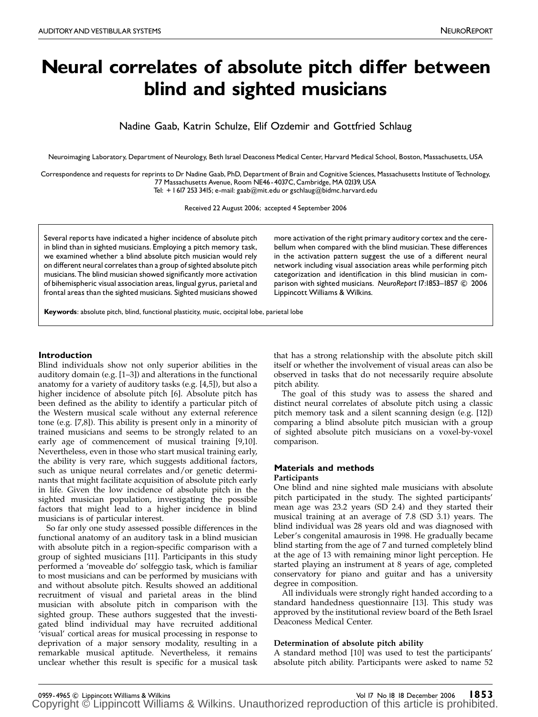# Neural correlates of absolute pitch differ between blind and sighted musicians

Nadine Gaab, Katrin Schulze, Elif Ozdemir and Gottfried Schlaug

Neuroimaging Laboratory, Department of Neurology, Beth Israel Deaconess Medical Center, Harvard Medical School, Boston, Massachusetts,USA

Correspondence and requests for reprints to Dr Nadine Gaab, PhD, Department of Brain and Cognitive Sciences, Massachusetts Institute of Technology, 77 Massachusetts Avenue, Room NE46 - 4037C, Cambridge, MA 02139, USA Tel:  $+$  1 617 253 3415; e-mail: gaab@mit.edu or gschlaug@bidmc.harvard.edu

Received 22 August 2006; accepted 4 September 2006

Several reports have indicated a higher incidence of absolute pitch in blind than in sighted musicians. Employing a pitch memory task, we examined whether a blind absolute pitch musician would rely on different neural correlates than a group of sighted absolute pitch musicians. The blind musician showed significantly more activation of bihemispheric visual association areas, lingual gyrus, parietal and frontal areas than the sighted musicians. Sighted musicians showed more activation of the right primary auditory cortex and the cerebellum when compared with the blind musician. These differences in the activation pattern suggest the use of a different neural network including visual association areas while performing pitch categorization and identification in this blind musician in comparison with sighted musicians. NeuroReport I7:1853-1857 C 2006 Lippincott Williams & Wilkins.

Keywords: absolute pitch, blind, functional plasticity, music, occipital lobe, parietal lobe

### Introduction

Blind individuals show not only superior abilities in the auditory domain (e.g. [1–3]) and alterations in the functional anatomy for a variety of auditory tasks (e.g. [4,5]), but also a higher incidence of absolute pitch [6]. Absolute pitch has been defined as the ability to identify a particular pitch of the Western musical scale without any external reference tone (e.g. [7,8]). This ability is present only in a minority of trained musicians and seems to be strongly related to an early age of commencement of musical training [9,10]. Nevertheless, even in those who start musical training early, the ability is very rare, which suggests additional factors, such as unique neural correlates and/or genetic determinants that might facilitate acquisition of absolute pitch early in life. Given the low incidence of absolute pitch in the sighted musician population, investigating the possible factors that might lead to a higher incidence in blind musicians is of particular interest.

So far only one study assessed possible differences in the functional anatomy of an auditory task in a blind musician with absolute pitch in a region-specific comparison with a group of sighted musicians [11]. Participants in this study performed a 'moveable do' solfeggio task, which is familiar to most musicians and can be performed by musicians with and without absolute pitch. Results showed an additional recruitment of visual and parietal areas in the blind musician with absolute pitch in comparison with the sighted group. These authors suggested that the investigated blind individual may have recruited additional 'visual' cortical areas for musical processing in response to deprivation of a major sensory modality, resulting in a remarkable musical aptitude. Nevertheless, it remains unclear whether this result is specific for a musical task

that has a strong relationship with the absolute pitch skill itself or whether the involvement of visual areas can also be observed in tasks that do not necessarily require absolute pitch ability.

The goal of this study was to assess the shared and distinct neural correlates of absolute pitch using a classic pitch memory task and a silent scanning design (e.g. [12]) comparing a blind absolute pitch musician with a group of sighted absolute pitch musicians on a voxel-by-voxel comparison.

# Materials and methods

# Participants

One blind and nine sighted male musicians with absolute pitch participated in the study. The sighted participants' mean age was 23.2 years (SD 2.4) and they started their musical training at an average of 7.8 (SD 3.1) years. The blind individual was 28 years old and was diagnosed with Leber's congenital amaurosis in 1998. He gradually became blind starting from the age of 7 and turned completely blind at the age of 13 with remaining minor light perception. He started playing an instrument at 8 years of age, completed conservatory for piano and guitar and has a university degree in composition.

All individuals were strongly right handed according to a standard handedness questionnaire [13]. This study was approved by the institutional review board of the Beth Israel Deaconess Medical Center.

# Determination of absolute pitch ability

A standard method [10] was used to test the participants' absolute pitch ability. Participants were asked to name 52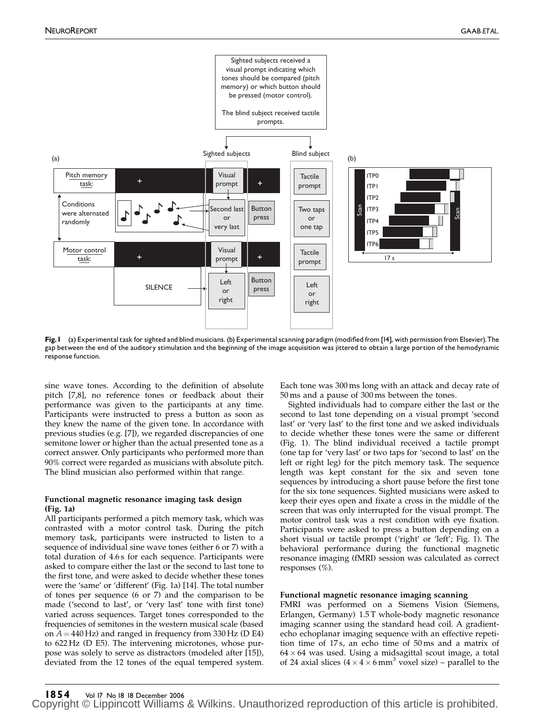

Fig. I (a) Experimental task for sighted and blind musicians. (b) Experimental scanning paradigm (modified from [14], with permission from Elsevier). The gap between the end of the auditory stimulation and the beginning of the image acquisition was jittered to obtain a large portion of the hemodynamic response function.

sine wave tones. According to the definition of absolute pitch [7,8], no reference tones or feedback about their performance was given to the participants at any time. Participants were instructed to press a button as soon as they knew the name of the given tone. In accordance with previous studies (e.g. [7]), we regarded discrepancies of one semitone lower or higher than the actual presented tone as a correct answer. Only participants who performed more than 90% correct were regarded as musicians with absolute pitch. The blind musician also performed within that range.

# Functional magnetic resonance imaging task design (Fig. 1a)

All participants performed a pitch memory task, which was contrasted with a motor control task. During the pitch memory task, participants were instructed to listen to a sequence of individual sine wave tones (either 6 or 7) with a total duration of 4.6 s for each sequence. Participants were asked to compare either the last or the second to last tone to the first tone, and were asked to decide whether these tones were the 'same' or 'different' (Fig. 1a) [14]. The total number of tones per sequence (6 or 7) and the comparison to be made ('second to last', or 'very last' tone with first tone) varied across sequences. Target tones corresponded to the frequencies of semitones in the western musical scale (based on  $A = 440$  Hz) and ranged in frequency from 330 Hz (D E4) to 622 Hz (D E5). The intervening microtones, whose purpose was solely to serve as distractors (modeled after [15]), deviated from the 12 tones of the equal tempered system.

Each tone was 300 ms long with an attack and decay rate of 50 ms and a pause of 300 ms between the tones.

Sighted individuals had to compare either the last or the second to last tone depending on a visual prompt 'second last' or 'very last' to the first tone and we asked individuals to decide whether these tones were the same or different (Fig. 1). The blind individual received a tactile prompt (one tap for 'very last' or two taps for 'second to last' on the left or right leg) for the pitch memory task. The sequence length was kept constant for the six and seven tone sequences by introducing a short pause before the first tone for the six tone sequences. Sighted musicians were asked to keep their eyes open and fixate a cross in the middle of the screen that was only interrupted for the visual prompt. The motor control task was a rest condition with eye fixation. Participants were asked to press a button depending on a short visual or tactile prompt ('right' or 'left'; Fig. 1). The behavioral performance during the functional magnetic resonance imaging (fMRI) session was calculated as correct responses (%).

#### Functional magnetic resonance imaging scanning

FMRI was performed on a Siemens Vision (Siemens, Erlangen, Germany) 1.5 T whole-body magnetic resonance imaging scanner using the standard head coil. A gradientecho echoplanar imaging sequence with an effective repetition time of 17 s, an echo time of 50 ms and a matrix of  $64 \times 64$  was used. Using a midsagittal scout image, a total of 24 axial slices  $(4 \times 4 \times 6 \text{ mm}^3 \text{ voxel size})$  – parallel to the

Copyright © Lippincott Williams & Wilkins. Unauthorized reproduction of this article is prohibited.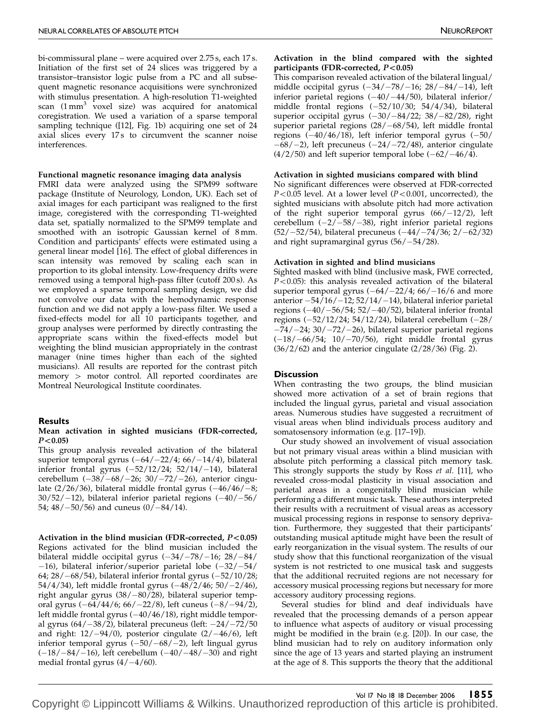bi-commissural plane – were acquired over 2.75 s, each 17 s. Initiation of the first set of 24 slices was triggered by a transistor–transistor logic pulse from a PC and all subsequent magnetic resonance acquisitions were synchronized with stimulus presentation. A high-resolution T1-weighted scan  $(1 \text{ mm}^3$  voxel size) was acquired for anatomical coregistration. We used a variation of a sparse temporal sampling technique ([12], Fig. 1b) acquiring one set of 24 axial slices every 17s to circumvent the scanner noise interferences.

#### Functional magnetic resonance imaging data analysis

FMRI data were analyzed using the SPM99 software package (Institute of Neurology, London, UK). Each set of axial images for each participant was realigned to the first image, coregistered with the corresponding T1-weighted data set, spatially normalized to the SPM99 template and smoothed with an isotropic Gaussian kernel of 8 mm. Condition and participants' effects were estimated using a general linear model [16]. The effect of global differences in scan intensity was removed by scaling each scan in proportion to its global intensity. Low-frequency drifts were removed using a temporal high-pass filter (cutoff 200 s). As we employed a sparse temporal sampling design, we did not convolve our data with the hemodynamic response function and we did not apply a low-pass filter. We used a fixed-effects model for all 10 participants together, and group analyses were performed by directly contrasting the appropriate scans within the fixed-effects model but weighting the blind musician appropriately in the contrast manager (nine times higher than each of the sighted musicians). All results are reported for the contrast pitch memory > motor control. All reported coordinates are Montreal Neurological Institute coordinates.

# Results

# Mean activation in sighted musicians (FDR-corrected,  $P < 0.05$

This group analysis revealed activation of the bilateral superior temporal gyrus  $(-64/-22/4; 66/-14/4)$ , bilateral inferior frontal gyrus  $(-52/12/24; 52/14/-14)$ , bilateral cerebellum  $(-38/–68/–26; 30/–72/–26)$ , anterior cingulate  $(2/26/36)$ , bilateral middle frontal gyrus  $(-46/46/-8;$  $30/52/-12$ ), bilateral inferior parietal regions  $(-40/-56/$ 54;  $48/-50/56$ ) and cuneus  $(0/-84/14)$ .

Activation in the blind musician (FDR-corrected,  $P<0.05$ ) Regions activated for the blind musician included the bilateral middle occipital gyrus  $(-34/-78/-16; 28/-84/$  $-16$ ), bilateral inferior/superior parietal lobe  $(-32/-54/$ 64;  $28/-68/54$ ), bilateral inferior frontal gyrus  $(-52/10/28;$ 54/4/34), left middle frontal gyrus  $(-48/2/46; 50/-2/46)$ , right angular gyrus  $(38/-80/28)$ , bilateral superior temporal gyrus  $(-64/44/6; 66/-22/8)$ , left cuneus  $(-8/-94/2)$ , left middle frontal gyrus (-40/46/18), right middle temporal gyrus (64/ $-38/2$ ), bilateral precuneus (left:  $-24/-72/50$ and right:  $12/-94/0$ ), posterior cingulate  $(2/-46/6)$ , left inferior temporal gyrus  $(-50/-68/-2)$ , left lingual gyrus  $(-18/-84/-16)$ , left cerebellum  $(-40/-48/-30)$  and right medial frontal gyrus  $\left(\frac{4}{-4/60}\right)$ .

# Activation in the blind compared with the sighted participants (FDR-corrected,  $P<0.05$ )

This comparison revealed activation of the bilateral lingual/ middle occipital gyrus  $(-34/-78/-16; 28/-84/-14)$ , left inferior parietal regions (-40/-44/50), bilateral inferior/ middle frontal regions  $(-52/10/30; 54/4/34)$ , bilateral superior occipital gyrus  $(-30/-84/22; 38/-82/28)$ , right superior parietal regions  $(28/-68/54)$ , left middle frontal regions  $(-40/46/18)$ , left inferior temporal gyrus  $(-50/$  $-68/-2$ ), left precuneus  $(-24/-72/48)$ , anterior cingulate  $(4/2/50)$  and left superior temporal lobe  $(-62/-46/4)$ .

#### Activation in sighted musicians compared with blind

No significant differences were observed at FDR-corrected  $P < 0.05$  level. At a lower level ( $P < 0.001$ , uncorrected), the sighted musicians with absolute pitch had more activation of the right superior temporal gyrus  $(66/-12/2)$ , left cerebellum  $(-2/-58/-38)$ , right inferior parietal regions  $(52/-52/54)$ , bilateral precuneus  $(-44/-74/36; 2/-62/32)$ and right supramarginal gyrus  $(56/-54/28)$ .

#### Activation in sighted and blind musicians

Sighted masked with blind (inclusive mask, FWE corrected,  $P<0.05$ ): this analysis revealed activation of the bilateral superior temporal gyrus  $(-64/-22/4; 66/-16/6$  and more anterior  $-54/16/-12$ ;  $52/14/-14$ ), bilateral inferior parietal regions  $(-40/-56/54; 52/-40/52)$ , bilateral inferior frontal regions (52/12/24; 54/12/24), bilateral cerebellum (28/  $-\overline{7}4$ / $-24$ ; 30/ $-\overline{7}2$ / $-26$ ), bilateral superior parietal regions  $(-18/-66/54; 10/-70/56)$ , right middle frontal gyrus  $(36/2/62)$  and the anterior cingulate  $(2/28/36)$  (Fig. 2).

#### **Discussion**

When contrasting the two groups, the blind musician showed more activation of a set of brain regions that included the lingual gyrus, parietal and visual association areas. Numerous studies have suggested a recruitment of visual areas when blind individuals process auditory and somatosensory information (e.g. [17–19]).

Our study showed an involvement of visual association but not primary visual areas within a blind musician with absolute pitch performing a classical pitch memory task. This strongly supports the study by Ross et al. [11], who revealed cross-modal plasticity in visual association and parietal areas in a congenitally blind musician while performing a different music task. These authors interpreted their results with a recruitment of visual areas as accessory musical processing regions in response to sensory deprivation. Furthermore, they suggested that their participants' outstanding musical aptitude might have been the result of early reorganization in the visual system. The results of our study show that this functional reorganization of the visual system is not restricted to one musical task and suggests that the additional recruited regions are not necessary for accessory musical processing regions but necessary for more accessory auditory processing regions.

Several studies for blind and deaf individuals have revealed that the processing demands of a person appear to influence what aspects of auditory or visual processing might be modified in the brain (e.g. [20]). In our case, the blind musician had to rely on auditory information only since the age of 13 years and started playing an instrument at the age of 8. This supports the theory that the additional

Vol 17 No 18 18 December 2006 1855

Copyright © Lippincott Williams & Wilkins. Unauthorized reproduction of this article is prohibited.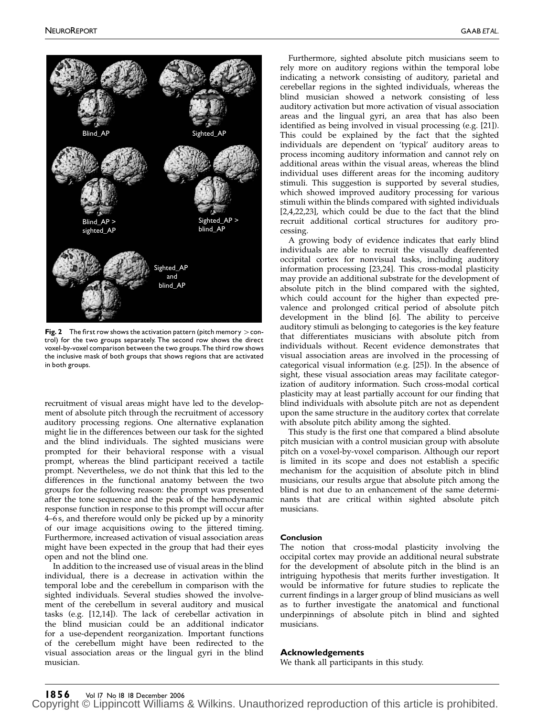

**Fig. 2** The first row shows the activation pattern (pitch memory  $>$  control) for the two groups separately. The second row shows the direct voxel-by-voxel comparison between the two groups.The third row shows the inclusive mask of both groups that shows regions that are activated in both groups.

recruitment of visual areas might have led to the development of absolute pitch through the recruitment of accessory auditory processing regions. One alternative explanation might lie in the differences between our task for the sighted and the blind individuals. The sighted musicians were prompted for their behavioral response with a visual prompt, whereas the blind participant received a tactile prompt. Nevertheless, we do not think that this led to the differences in the functional anatomy between the two groups for the following reason: the prompt was presented after the tone sequence and the peak of the hemodynamic response function in response to this prompt will occur after 4–6 s, and therefore would only be picked up by a minority of our image acquisitions owing to the jittered timing. Furthermore, increased activation of visual association areas might have been expected in the group that had their eyes open and not the blind one.

In addition to the increased use of visual areas in the blind individual, there is a decrease in activation within the temporal lobe and the cerebellum in comparison with the sighted individuals. Several studies showed the involvement of the cerebellum in several auditory and musical tasks (e.g. [12,14]). The lack of cerebellar activation in the blind musician could be an additional indicator for a use-dependent reorganization. Important functions of the cerebellum might have been redirected to the visual association areas or the lingual gyri in the blind musician.

Furthermore, sighted absolute pitch musicians seem to rely more on auditory regions within the temporal lobe indicating a network consisting of auditory, parietal and cerebellar regions in the sighted individuals, whereas the blind musician showed a network consisting of less auditory activation but more activation of visual association areas and the lingual gyri, an area that has also been identified as being involved in visual processing (e.g. [21]). This could be explained by the fact that the sighted individuals are dependent on 'typical' auditory areas to process incoming auditory information and cannot rely on additional areas within the visual areas, whereas the blind individual uses different areas for the incoming auditory stimuli. This suggestion is supported by several studies, which showed improved auditory processing for various stimuli within the blinds compared with sighted individuals [2,4,22,23], which could be due to the fact that the blind recruit additional cortical structures for auditory processing.

A growing body of evidence indicates that early blind individuals are able to recruit the visually deafferented occipital cortex for nonvisual tasks, including auditory information processing [23,24]. This cross-modal plasticity may provide an additional substrate for the development of absolute pitch in the blind compared with the sighted, which could account for the higher than expected prevalence and prolonged critical period of absolute pitch development in the blind [6]. The ability to perceive auditory stimuli as belonging to categories is the key feature that differentiates musicians with absolute pitch from individuals without. Recent evidence demonstrates that visual association areas are involved in the processing of categorical visual information (e.g. [25]). In the absence of sight, these visual association areas may facilitate categorization of auditory information. Such cross-modal cortical plasticity may at least partially account for our finding that blind individuals with absolute pitch are not as dependent upon the same structure in the auditory cortex that correlate with absolute pitch ability among the sighted.

This study is the first one that compared a blind absolute pitch musician with a control musician group with absolute pitch on a voxel-by-voxel comparison. Although our report is limited in its scope and does not establish a specific mechanism for the acquisition of absolute pitch in blind musicians, our results argue that absolute pitch among the blind is not due to an enhancement of the same determinants that are critical within sighted absolute pitch musicians.

# Conclusion

The notion that cross-modal plasticity involving the occipital cortex may provide an additional neural substrate for the development of absolute pitch in the blind is an intriguing hypothesis that merits further investigation. It would be informative for future studies to replicate the current findings in a larger group of blind musicians as well as to further investigate the anatomical and functional underpinnings of absolute pitch in blind and sighted musicians.

## Acknowledgements

We thank all participants in this study.

Copyright © Lippincott Williams & Wilkins. Unauthorized reproduction of this article is prohibited.